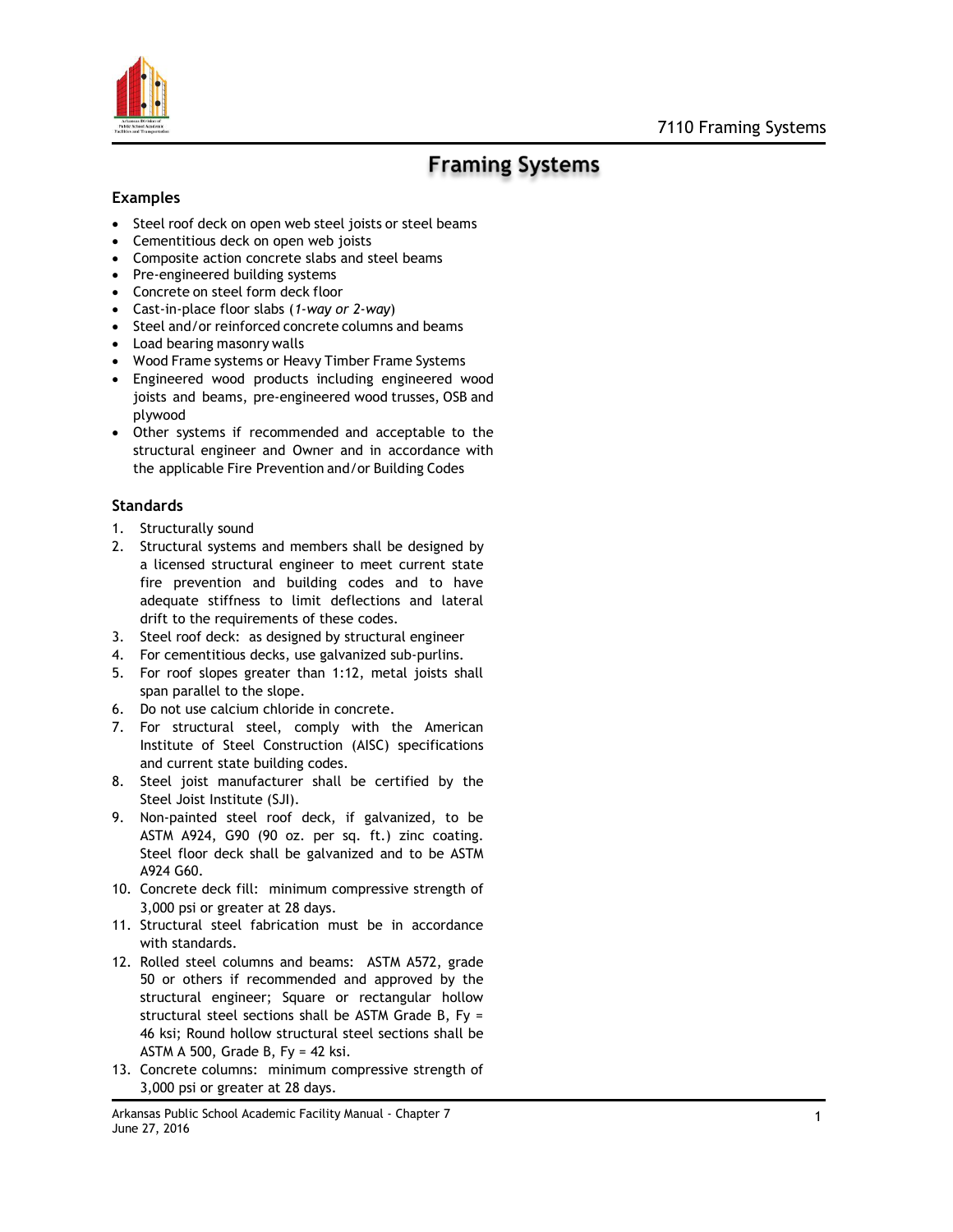

## **Framing Systems**

## **Examples**

- Steel roof deck on open web steel joists or steel beams
- Cementitious deck on open web joists
- Composite action concrete slabs and steel beams
- Pre-engineered building systems
- Concrete on steel form deck floor
- Cast-in-place floor slabs (*1-way or 2-way*)
- Steel and/or reinforced concrete columns and beams
- Load bearing masonry walls
- Wood Frame systems or Heavy Timber Frame Systems
- Engineered wood products including engineered wood joists and beams, pre-engineered wood trusses, OSB and plywood
- Other systems if recommended and acceptable to the structural engineer and Owner and in accordance with the applicable Fire Prevention and/or Building Codes

## **Standards**

- 1. Structurally sound
- 2. Structural systems and members shall be designed by a licensed structural engineer to meet current state fire prevention and building codes and to have adequate stiffness to limit deflections and lateral drift to the requirements of these codes.
- 3. Steel roof deck: as designed by structural engineer
- 4. For cementitious decks, use galvanized sub-purlins.
- 5. For roof slopes greater than 1:12, metal joists shall span parallel to the slope.
- 6. Do not use calcium chloride in concrete.
- 7. For structural steel, comply with the American Institute of Steel Construction (AISC) specifications and current state building codes.
- 8. Steel joist manufacturer shall be certified by the Steel Joist Institute (SJI).
- 9. Non-painted steel roof deck, if galvanized, to be ASTM A924, G90 (90 oz. per sq. ft.) zinc coating. Steel floor deck shall be galvanized and to be ASTM A924 G60.
- 10. Concrete deck fill: minimum compressive strength of 3,000 psi or greater at 28 days.
- 11. Structural steel fabrication must be in accordance with standards.
- 12. Rolled steel columns and beams: ASTM A572, grade 50 or others if recommended and approved by the structural engineer; Square or rectangular hollow structural steel sections shall be ASTM Grade B, Fy = 46 ksi; Round hollow structural steel sections shall be ASTM A 500, Grade B, Fy = 42 ksi.
- 13. Concrete columns: minimum compressive strength of 3,000 psi or greater at 28 days.